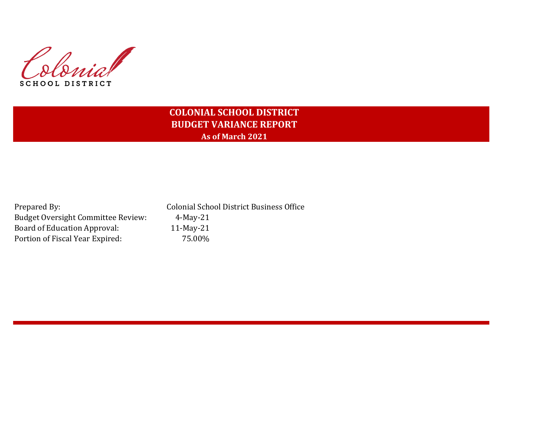Colonial **SCHOOL DISTRICT** 

# **COLONIAL SCHOOL DISTRICT BUDGET VARIANCE REPORT As of March 2021**

Budget Oversight Committee Review: 4-May-21 Board of Education Approval: 11-May-21 Portion of Fiscal Year Expired: 75.00%

Prepared By: Colonial School District Business Office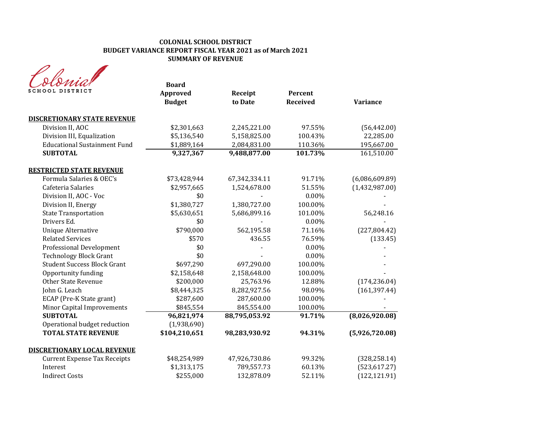#### **COLONIAL SCHOOL DISTRICT BUDGET VARIANCE REPORT FISCAL YEAR 2021 as of March 2021 SUMMARY OF REVENUE**

|                                     | <b>Board</b>  |               |                 |                 |
|-------------------------------------|---------------|---------------|-----------------|-----------------|
| SCHOOL DISTRICT                     | Approved      | Receipt       | Percent         |                 |
|                                     | <b>Budget</b> | to Date       | <b>Received</b> | <b>Variance</b> |
| <b>DISCRETIONARY STATE REVENUE</b>  |               |               |                 |                 |
| Division II, AOC                    | \$2,301,663   | 2,245,221.00  | 97.55%          | (56, 442.00)    |
| Division III, Equalization          | \$5,136,540   | 5,158,825.00  | 100.43%         | 22,285.00       |
| <b>Educational Sustainment Fund</b> | \$1,889,164   | 2,084,831.00  | 110.36%         | 195,667.00      |
| <b>SUBTOTAL</b>                     | 9,327,367     | 9,488,877.00  | 101.73%         | 161,510.00      |
| <b>RESTRICTED STATE REVENUE</b>     |               |               |                 |                 |
| Formula Salaries & OEC's            | \$73,428,944  | 67,342,334.11 | 91.71%          | (6,086,609.89)  |
| Cafeteria Salaries                  | \$2,957,665   | 1,524,678.00  | 51.55%          | (1,432,987.00)  |
| Division II, AOC - Voc              | \$0           |               | $0.00\%$        |                 |
| Division II, Energy                 | \$1,380,727   | 1,380,727.00  | 100.00%         |                 |
| <b>State Transportation</b>         | \$5,630,651   | 5,686,899.16  | 101.00%         | 56,248.16       |
| Drivers Ed.                         | \$0           |               | $0.00\%$        |                 |
| <b>Unique Alternative</b>           | \$790,000     | 562,195.58    | 71.16%          | (227, 804.42)   |
| <b>Related Services</b>             | \$570         | 436.55        | 76.59%          | (133.45)        |
| <b>Professional Development</b>     | \$0           |               | 0.00%           |                 |
| <b>Technology Block Grant</b>       | \$0           |               | 0.00%           |                 |
| <b>Student Success Block Grant</b>  | \$697,290     | 697,290.00    | 100.00%         |                 |
| Opportunity funding                 | \$2,158,648   | 2,158,648.00  | 100.00%         |                 |
| <b>Other State Revenue</b>          | \$200,000     | 25,763.96     | 12.88%          | (174, 236.04)   |
| John G. Leach                       | \$8,444,325   | 8,282,927.56  | 98.09%          | (161, 397.44)   |
| ECAP (Pre-K State grant)            | \$287,600     | 287,600.00    | 100.00%         |                 |
| Minor Capital Improvements          | \$845,554     | 845,554.00    | 100.00%         |                 |
| <b>SUBTOTAL</b>                     | 96,821,974    | 88,795,053.92 | 91.71%          | (8,026,920.08)  |
| Operational budget reduction        | (1,938,690)   |               |                 |                 |
| <b>TOTAL STATE REVENUE</b>          | \$104,210,651 | 98,283,930.92 | 94.31%          | (5,926,720.08)  |
| <b>DISCRETIONARY LOCAL REVENUE</b>  |               |               |                 |                 |
| <b>Current Expense Tax Receipts</b> | \$48,254,989  | 47,926,730.86 | 99.32%          | (328, 258.14)   |
| Interest                            | \$1,313,175   | 789,557.73    | 60.13%          | (523, 617.27)   |
| <b>Indirect Costs</b>               | \$255,000     | 132,878.09    | 52.11%          | (122, 121.91)   |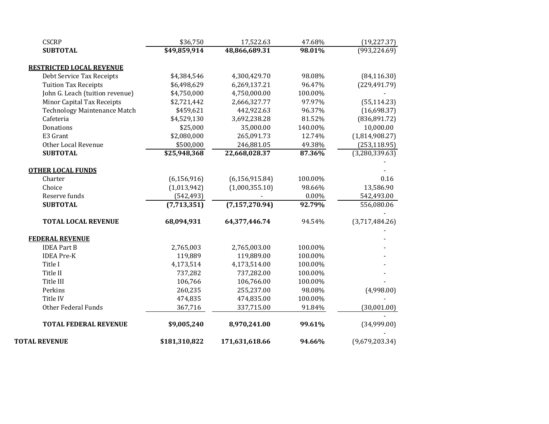| <b>CSCRP</b>                        | \$36,750      | 17,522.63        | 47.68%  | (19, 227.37)   |
|-------------------------------------|---------------|------------------|---------|----------------|
| <b>SUBTOTAL</b>                     | \$49,859,914  | 48,866,689.31    | 98.01%  | (993, 224.69)  |
| RESTRICTED LOCAL REVENUE            |               |                  |         |                |
| Debt Service Tax Receipts           | \$4,384,546   | 4,300,429.70     | 98.08%  | (84, 116.30)   |
| <b>Tuition Tax Receipts</b>         | \$6,498,629   | 6,269,137.21     | 96.47%  | (229, 491.79)  |
| John G. Leach (tuition revenue)     | \$4,750,000   | 4,750,000.00     | 100.00% |                |
| Minor Capital Tax Receipts          | \$2,721,442   | 2,666,327.77     | 97.97%  | (55, 114.23)   |
| <b>Technology Maintenance Match</b> | \$459,621     | 442,922.63       | 96.37%  | (16,698.37)    |
| Cafeteria                           | \$4,529,130   | 3,692,238.28     | 81.52%  | (836, 891.72)  |
| Donations                           | \$25,000      | 35,000.00        | 140.00% | 10,000.00      |
| E3 Grant                            | \$2,080,000   | 265,091.73       | 12.74%  | (1,814,908.27) |
| Other Local Revenue                 | \$500,000     | 246,881.05       | 49.38%  | (253, 118.95)  |
| <b>SUBTOTAL</b>                     | \$25,948,368  | 22,668,028.37    | 87.36%  | (3,280,339.63) |
| <b>OTHER LOCAL FUNDS</b>            |               |                  |         |                |
| Charter                             | (6, 156, 916) | (6, 156, 915.84) | 100.00% | 0.16           |
| Choice                              | (1,013,942)   | (1,000,355.10)   | 98.66%  | 13,586.90      |
| Reserve funds                       | (542, 493)    |                  | 0.00%   | 542,493.00     |
| <b>SUBTOTAL</b>                     | (7,713,351)   | (7, 157, 270.94) | 92.79%  | 556,080.06     |
| <b>TOTAL LOCAL REVENUE</b>          | 68,094,931    | 64,377,446.74    | 94.54%  | (3,717,484.26) |
| <b>FEDERAL REVENUE</b>              |               |                  |         |                |
| <b>IDEA Part B</b>                  | 2,765,003     | 2,765,003.00     | 100.00% |                |
| <b>IDEA Pre-K</b>                   | 119,889       | 119,889.00       | 100.00% |                |
| Title I                             | 4,173,514     | 4,173,514.00     | 100.00% |                |
| Title II                            | 737,282       | 737,282.00       | 100.00% |                |
| Title III                           | 106,766       | 106,766.00       | 100.00% |                |
| Perkins                             | 260,235       | 255,237.00       | 98.08%  | (4,998.00)     |
| Title IV                            | 474,835       | 474,835.00       | 100.00% |                |
| Other Federal Funds                 | 367,716       | 337,715.00       | 91.84%  | (30,001.00)    |
| <b>TOTAL FEDERAL REVENUE</b>        | \$9,005,240   | 8,970,241.00     | 99.61%  | (34,999.00)    |
| <b>TOTAL REVENUE</b>                | \$181,310,822 | 171,631,618.66   | 94.66%  | (9,679,203.34) |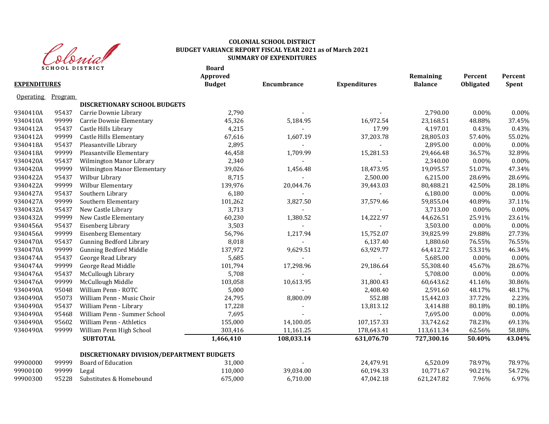

#### **COLONIAL SCHOOL DISTRICT BUDGET VARIANCE REPORT FISCAL YEAR 2021 as of March 2021 SUMMARY OF EXPENDITURES**

| <b>EXPENDITURES</b> |         | <b>SCHOOL DISTRICT</b>                    | <b>Board</b><br>Approved<br><b>Budget</b> | Encumbrance              | <b>Expenditures</b>      | Remaining<br><b>Balance</b> | Percent<br>Obligated | Percent<br>Spent |
|---------------------|---------|-------------------------------------------|-------------------------------------------|--------------------------|--------------------------|-----------------------------|----------------------|------------------|
|                     |         |                                           |                                           |                          |                          |                             |                      |                  |
| <b>Operating</b>    | Program |                                           |                                           |                          |                          |                             |                      |                  |
|                     |         | DISCRETIONARY SCHOOL BUDGETS              |                                           |                          |                          |                             |                      |                  |
| 9340410A            | 95437   | Carrie Downie Library                     | 2,790                                     |                          |                          | 2,790.00                    | $0.00\%$             | 0.00%            |
| 9340410A            | 99999   | Carrie Downie Elementary                  | 45,326                                    | 5,184.95                 | 16,972.54                | 23,168.51                   | 48.88%               | 37.45%           |
| 9340412A            | 95437   | Castle Hills Library                      | 4,215                                     |                          | 17.99                    | 4,197.01                    | 0.43%                | 0.43%            |
| 9340412A            | 99999   | Castle Hills Elementary                   | 67,616                                    | 1,607.19                 | 37,203.78                | 28,805.03                   | 57.40%               | 55.02%           |
| 9340418A            | 95437   | Pleasantville Library                     | 2,895                                     | $\sim$                   |                          | 2,895.00                    | $0.00\%$             | 0.00%            |
| 9340418A            | 99999   | Pleasantville Elementary                  | 46,458                                    | 1,709.99                 | 15,281.53                | 29,466.48                   | 36.57%               | 32.89%           |
| 9340420A            | 95437   | Wilmington Manor Library                  | 2,340                                     | $\blacksquare$           | $\sim$                   | 2,340.00                    | $0.00\%$             | 0.00%            |
| 9340420A            | 99999   | Wilmington Manor Elementary               | 39,026                                    | 1,456.48                 | 18,473.95                | 19,095.57                   | 51.07%               | 47.34%           |
| 9340422A            | 95437   | Wilbur Library                            | 8,715                                     | $\sim$                   | 2,500.00                 | 6,215.00                    | 28.69%               | 28.69%           |
| 9340422A            | 99999   | Wilbur Elementary                         | 139,976                                   | 20,044.76                | 39,443.03                | 80,488.21                   | 42.50%               | 28.18%           |
| 9340427A            | 95437   | Southern Library                          | 6,180                                     | $\blacksquare$           | $\sim$                   | 6,180.00                    | $0.00\%$             | 0.00%            |
| 9340427A            | 99999   | Southern Elementary                       | 101,262                                   | 3,827.50                 | 37,579.46                | 59,855.04                   | 40.89%               | 37.11%           |
| 9340432A            | 95437   | New Castle Library                        | 3,713                                     | $\overline{\phantom{a}}$ | $\sim$                   | 3,713.00                    | $0.00\%$             | 0.00%            |
| 9340432A            | 99999   | New Castle Elementary                     | 60,230                                    | 1,380.52                 | 14,222.97                | 44,626.51                   | 25.91%               | 23.61%           |
| 9340456A            | 95437   | Eisenberg Library                         | 3,503                                     | $\overline{\phantom{0}}$ | $\overline{\phantom{a}}$ | 3,503.00                    | 0.00%                | 0.00%            |
| 9340456A            | 99999   | <b>Eisenberg Elementary</b>               | 56,796                                    | 1,217.94                 | 15,752.07                | 39,825.99                   | 29.88%               | 27.73%           |
| 9340470A            | 95437   | <b>Gunning Bedford Library</b>            | 8,018                                     |                          | 6,137.40                 | 1,880.60                    | 76.55%               | 76.55%           |
| 9340470A            | 99999   | <b>Gunning Bedford Middle</b>             | 137,972                                   | 9,629.51                 | 63,929.77                | 64,412.72                   | 53.31%               | 46.34%           |
| 9340474A            | 95437   | George Read Library                       | 5,685                                     |                          | $\mathbf{L}$             | 5,685.00                    | $0.00\%$             | $0.00\%$         |
| 9340474A            | 99999   | George Read Middle                        | 101,794                                   | 17,298.96                | 29,186.64                | 55,308.40                   | 45.67%               | 28.67%           |
| 9340476A            | 95437   | McCullough Library                        | 5,708                                     |                          |                          | 5,708.00                    | $0.00\%$             | 0.00%            |
| 9340476A            | 99999   | McCullough Middle                         | 103,058                                   | 10,613.95                | 31,800.43                | 60,643.62                   | 41.16%               | 30.86%           |
| 9340490A            | 95048   | William Penn - ROTC                       | 5,000                                     |                          | 2,408.40                 | 2,591.60                    | 48.17%               | 48.17%           |
| 9340490A            | 95073   | William Penn - Music Choir                | 24,795                                    | 8,800.09                 | 552.88                   | 15,442.03                   | 37.72%               | 2.23%            |
| 9340490A            | 95437   | William Penn - Library                    | 17,228                                    |                          | 13,813.12                | 3,414.88                    | 80.18%               | 80.18%           |
| 9340490A            | 95468   | William Penn - Summer School              | 7,695                                     |                          | $\mathbf{L}$             | 7,695.00                    | $0.00\%$             | 0.00%            |
| 9340490A            | 95602   | William Penn - Athletics                  | 155,000                                   | 14,100.05                | 107,157.33               | 33,742.62                   | 78.23%               | 69.13%           |
| 9340490A            | 99999   | William Penn High School                  | 303,416                                   | 11,161.25                | 178,643.41               | 113,611.34                  | 62.56%               | 58.88%           |
|                     |         | <b>SUBTOTAL</b>                           | 1,466,410                                 | 108,033.14               | 631,076.70               | 727,300.16                  | 50.40%               | 43.04%           |
|                     |         | DISCRETIONARY DIVISION/DEPARTMENT BUDGETS |                                           |                          |                          |                             |                      |                  |
| 99900000            | 99999   | <b>Board of Education</b>                 | 31,000                                    |                          | 24,479.91                | 6,520.09                    | 78.97%               | 78.97%           |
| 99900100            | 99999   | Legal                                     | 110,000                                   | 39,034.00                | 60,194.33                | 10,771.67                   | 90.21%               | 54.72%           |
| 99900300            | 95228   | Substitutes & Homebound                   | 675,000                                   | 6,710.00                 | 47,042.18                | 621,247.82                  | 7.96%                | 6.97%            |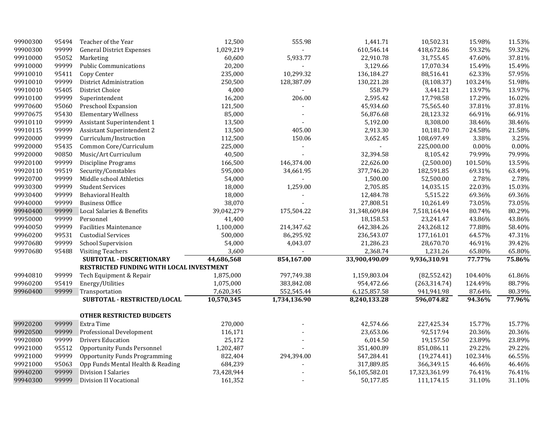| 99900300 | 95494 | Teacher of the Year                      | 12,500     | 555.98       | 1,441.71      | 10,502.31     | 15.98%  | 11.53%   |
|----------|-------|------------------------------------------|------------|--------------|---------------|---------------|---------|----------|
| 99900300 | 99999 | <b>General District Expenses</b>         | 1,029,219  |              | 610,546.14    | 418,672.86    | 59.32%  | 59.32%   |
| 99910000 | 95052 | Marketing                                | 60,600     | 5,933.77     | 22,910.78     | 31,755.45     | 47.60%  | 37.81%   |
| 99910000 | 99999 | <b>Public Communications</b>             | 20,200     |              | 3,129.66      | 17,070.34     | 15.49%  | 15.49%   |
| 99910010 | 95411 | Copy Center                              | 235,000    | 10,299.32    | 136,184.27    | 88,516.41     | 62.33%  | 57.95%   |
| 99910010 | 99999 | District Administration                  | 250,500    | 128,387.09   | 130,221.28    | (8, 108.37)   | 103.24% | 51.98%   |
| 99910010 | 95405 | District Choice                          | 4,000      |              | 558.79        | 3,441.21      | 13.97%  | 13.97%   |
| 99910100 | 99999 | Superintendent                           | 16,200     | 206.00       | 2,595.42      | 17,798.58     | 17.29%  | 16.02%   |
| 99970600 | 95060 | Preschool Expansion                      | 121,500    |              | 45,934.60     | 75,565.40     | 37.81%  | 37.81%   |
| 99970675 | 95430 | <b>Elementary Wellness</b>               | 85,000     |              | 56,876.68     | 28,123.32     | 66.91%  | 66.91%   |
| 99910110 | 99999 | Assistant Superintendent 1               | 13,500     |              | 5,192.00      | 8,308.00      | 38.46%  | 38.46%   |
| 99910115 | 99999 | Assistant Superintendent 2               | 13,500     | 405.00       | 2,913.30      | 10,181.70     | 24.58%  | 21.58%   |
| 99920000 | 99999 | Curriculum/Instruction                   | 112,500    | 150.06       | 3,652.45      | 108,697.49    | 3.38%   | 3.25%    |
| 99920000 | 95435 | Common Core/Curriculum                   | 225,000    |              |               | 225,000.00    | 0.00%   | $0.00\%$ |
| 99920000 | 90850 | Music/Art Curriculum                     | 40,500     |              | 32,394.58     | 8,105.42      | 79.99%  | 79.99%   |
| 99920100 | 99999 | Discipline Programs                      | 166,500    | 146,374.00   | 22,626.00     | (2,500.00)    | 101.50% | 13.59%   |
| 99920110 | 99519 | Security/Constables                      | 595,000    | 34,661.95    | 377,746.20    | 182,591.85    | 69.31%  | 63.49%   |
| 99920700 | 99999 | Middle school Athletics                  | 54,000     |              | 1,500.00      | 52,500.00     | 2.78%   | 2.78%    |
| 99930300 | 99999 | <b>Student Services</b>                  | 18,000     | 1,259.00     | 2,705.85      | 14,035.15     | 22.03%  | 15.03%   |
| 99930400 | 99999 | Behavioral Health                        | 18,000     |              | 12,484.78     | 5,515.22      | 69.36%  | 69.36%   |
| 99940000 | 99999 | <b>Business Office</b>                   | 38,070     |              | 27,808.51     | 10,261.49     | 73.05%  | 73.05%   |
| 99940400 | 99999 | Local Salaries & Benefits                | 39,042,279 | 175,504.22   | 31,348,609.84 | 7,518,164.94  | 80.74%  | 80.29%   |
| 99950000 | 99999 | Personnel                                | 41,400     |              | 18,158.53     | 23,241.47     | 43.86%  | 43.86%   |
| 99940050 | 99999 | <b>Facilities Maintenance</b>            | 1,100,000  | 214,347.62   | 642,384.26    | 243,268.12    | 77.88%  | 58.40%   |
| 99960200 | 99531 | <b>Custodial Services</b>                | 500,000    | 86,295.92    | 236,543.07    | 177,161.01    | 64.57%  | 47.31%   |
| 99970680 | 99999 | <b>School Supervision</b>                | 54,000     | 4,043.07     | 21,286.23     | 28,670.70     | 46.91%  | 39.42%   |
| 99970680 | 95488 | <b>Visiting Teachers</b>                 | 3,600      |              | 2,368.74      | 1,231.26      | 65.80%  | 65.80%   |
|          |       | SUBTOTAL - DISCRETIONARY                 | 44,686,568 | 854,167.00   | 33,900,490.09 | 9,936,310.91  | 77.77%  | 75.86%   |
|          |       | RESTRICTED FUNDING WITH LOCAL INVESTMENT |            |              |               |               |         |          |
| 99940810 | 99999 | Tech Equipment & Repair                  | 1,875,000  | 797,749.38   | 1,159,803.04  | (82, 552.42)  | 104.40% | 61.86%   |
| 99960200 | 95419 | Energy/Utilities                         | 1,075,000  | 383,842.08   | 954,472.66    | (263, 314.74) | 124.49% | 88.79%   |
| 99960400 | 99999 | Transportation                           | 7,620,345  | 552,545.44   | 6,125,857.58  | 941,941.98    | 87.64%  | 80.39%   |
|          |       | SUBTOTAL - RESTRICTED/LOCAL              | 10,570,345 | 1,734,136.90 | 8,240,133.28  | 596,074.82    | 94.36%  | 77.96%   |
|          |       | <b>OTHER RESTRICTED BUDGETS</b>          |            |              |               |               |         |          |
| 99920200 | 99999 | Extra Time                               | 270,000    |              | 42,574.66     | 227,425.34    | 15.77%  | 15.77%   |
| 99920500 | 99999 | Professional Development                 | 116,171    |              | 23,653.06     | 92,517.94     | 20.36%  | 20.36%   |
| 99920800 | 99999 | <b>Drivers Education</b>                 | 25,172     |              | 6,014.50      | 19,157.50     | 23.89%  | 23.89%   |
| 99921000 | 95512 | <b>Opportunity Funds Personnel</b>       | 1,202,487  |              | 351,400.89    | 851,086.11    | 29.22%  | 29.22%   |
| 99921000 | 99999 | <b>Opportunity Funds Programming</b>     | 822,404    | 294,394.00   | 547,284.41    | (19, 274.41)  | 102.34% | 66.55%   |
| 99921000 | 95063 | Opp Funds Mental Health & Reading        | 684,239    |              | 317,889.85    | 366,349.15    | 46.46%  | 46.46%   |
| 99940200 | 99999 | <b>Division I Salaries</b>               | 73,428,944 |              | 56,105,582.01 | 17,323,361.99 | 76.41%  | 76.41%   |
| 99940300 | 99999 | Division II Vocational                   | 161,352    |              | 50,177.85     | 111,174.15    | 31.10%  | 31.10%   |
|          |       |                                          |            |              |               |               |         |          |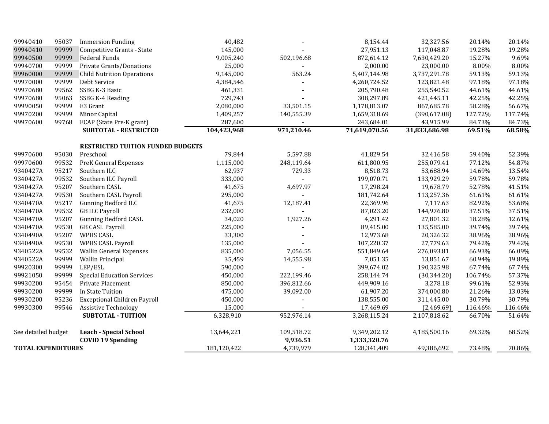| 99940410                  | 95037 | <b>Immersion Funding</b>                 | 40,482      |            | 8,154.44      | 32,327.56     | 20.14%  | 20.14%  |
|---------------------------|-------|------------------------------------------|-------------|------------|---------------|---------------|---------|---------|
| 99940410                  | 99999 | Competitive Grants - State               | 145,000     |            | 27,951.13     | 117,048.87    | 19.28%  | 19.28%  |
| 99940500                  | 99999 | Federal Funds                            | 9,005,240   | 502,196.68 | 872,614.12    | 7,630,429.20  | 15.27%  | 9.69%   |
| 99940700                  | 99999 | Private Grants/Donations                 | 25,000      |            | 2,000.00      | 23,000.00     | 8.00%   | 8.00%   |
| 99960000                  | 99999 | <b>Child Nutrition Operations</b>        | 9,145,000   | 563.24     | 5,407,144.98  | 3,737,291.78  | 59.13%  | 59.13%  |
| 99970000                  | 99999 | Debt Service                             | 4,384,546   |            | 4,260,724.52  | 123,821.48    | 97.18%  | 97.18%  |
| 99970680                  | 99562 | SSBG K-3 Basic                           | 461,331     |            | 205,790.48    | 255,540.52    | 44.61%  | 44.61%  |
| 99970680                  | 95063 | SSBG K-4 Reading                         | 729,743     |            | 308,297.89    | 421,445.11    | 42.25%  | 42.25%  |
| 99990050                  | 99999 | E3 Grant                                 | 2,080,000   | 33,501.15  | 1,178,813.07  | 867,685.78    | 58.28%  | 56.67%  |
| 99970200                  | 99999 | Minor Capital                            | 1,409,257   | 140,555.39 | 1,659,318.69  | (390, 617.08) | 127.72% | 117.74% |
| 99970600                  | 99768 | ECAP (State Pre-K grant)                 | 287,600     |            | 243,684.01    | 43,915.99     | 84.73%  | 84.73%  |
|                           |       | <b>SUBTOTAL - RESTRICTED</b>             | 104,423,968 | 971,210.46 | 71,619,070.56 | 31,833,686.98 | 69.51%  | 68.58%  |
|                           |       | <b>RESTRICTED TUITION FUNDED BUDGETS</b> |             |            |               |               |         |         |
| 99970600                  | 95030 | Preschool                                | 79,844      | 5,597.88   | 41,829.54     | 32,416.58     | 59.40%  | 52.39%  |
| 99970600                  | 99532 | PreK General Expenses                    | 1,115,000   | 248,119.64 | 611,800.95    | 255,079.41    | 77.12%  | 54.87%  |
| 9340427A                  | 95217 | Southern ILC                             | 62,937      | 729.33     | 8,518.73      | 53,688.94     | 14.69%  | 13.54%  |
| 9340427A                  | 99532 | Southern ILC Payroll                     | 333,000     |            | 199,070.71    | 133,929.29    | 59.78%  | 59.78%  |
| 9340427A                  | 95207 | Southern CASL                            | 41,675      | 4,697.97   | 17,298.24     | 19,678.79     | 52.78%  | 41.51%  |
| 9340427A                  | 99530 | Southern CASL Payroll                    | 295,000     |            | 181,742.64    | 113,257.36    | 61.61%  | 61.61%  |
| 9340470A                  | 95217 | <b>Gunning Bedford ILC</b>               | 41,675      | 12,187.41  | 22,369.96     | 7,117.63      | 82.92%  | 53.68%  |
| 9340470A                  | 99532 | <b>GB ILC Payroll</b>                    | 232,000     |            | 87,023.20     | 144,976.80    | 37.51%  | 37.51%  |
| 9340470A                  | 95207 | <b>Gunning Bedford CASL</b>              | 34,020      | 1,927.26   | 4,291.42      | 27,801.32     | 18.28%  | 12.61%  |
| 9340470A                  | 99530 | <b>GB CASL Payroll</b>                   | 225,000     |            | 89,415.00     | 135,585.00    | 39.74%  | 39.74%  |
| 9340490A                  | 95207 | WPHS CASL                                | 33,300      |            | 12,973.68     | 20,326.32     | 38.96%  | 38.96%  |
| 9340490A                  | 99530 | WPHS CASL Payroll                        | 135,000     |            | 107,220.37    | 27,779.63     | 79.42%  | 79.42%  |
| 9340522A                  | 99532 | <b>Wallin General Expenses</b>           | 835,000     | 7,056.55   | 551,849.64    | 276,093.81    | 66.93%  | 66.09%  |
| 9340522A                  | 99999 | <b>Wallin Principal</b>                  | 35,459      | 14,555.98  | 7,051.35      | 13,851.67     | 60.94%  | 19.89%  |
| 99920300                  | 99999 | LEP/ESL                                  | 590,000     |            | 399,674.02    | 190,325.98    | 67.74%  | 67.74%  |
| 99921050                  | 99999 | <b>Special Education Services</b>        | 450,000     | 222,199.46 | 258,144.74    | (30, 344.20)  | 106.74% | 57.37%  |
| 99930200                  | 95454 | Private Placement                        | 850,000     | 396,812.66 | 449,909.16    | 3,278.18      | 99.61%  | 52.93%  |
| 99930200                  | 99999 | In State Tuition                         | 475,000     | 39,092.00  | 61,907.20     | 374,000.80    | 21.26%  | 13.03%  |
| 99930200                  | 95236 | <b>Exceptional Children Payroll</b>      | 450,000     |            | 138,555.00    | 311,445.00    | 30.79%  | 30.79%  |
| 99930300                  | 99546 | <b>Assistive Technology</b>              | 15,000      |            | 17,469.69     | (2,469.69)    | 116.46% | 116.46% |
|                           |       | <b>SUBTOTAL - TUITION</b>                | 6,328,910   | 952,976.14 | 3,268,115.24  | 2,107,818.62  | 66.70%  | 51.64%  |
| See detailed budget       |       | <b>Leach - Special School</b>            | 13,644,221  | 109,518.72 | 9,349,202.12  | 4,185,500.16  | 69.32%  | 68.52%  |
|                           |       | <b>COVID 19 Spending</b>                 |             | 9,936.51   | 1,333,320.76  |               |         |         |
| <b>TOTAL EXPENDITURES</b> |       |                                          | 181,120,422 | 4,739,979  | 128,341,409   | 49,386,692    | 73.48%  | 70.86%  |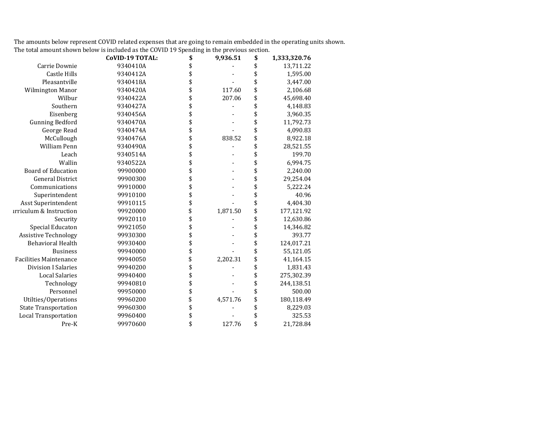The amounts below represent COVID related expenses that are going to remain embedded in the operating units shown. The total amount shown below is included as the COVID 19 Spending in the previous section.

|                                    | <b>CoVID-19 TOTAL:</b> | \$<br>9,936.51 | \$<br>1,333,320.76 |
|------------------------------------|------------------------|----------------|--------------------|
| Carrie Downie                      | 9340410A               | \$             | \$<br>13,711.22    |
| <b>Castle Hills</b>                | 9340412A               | \$             | \$<br>1,595.00     |
| Pleasantville                      | 9340418A               | \$             | \$<br>3,447.00     |
| Wilmington Manor                   | 9340420A               | \$<br>117.60   | \$<br>2,106.68     |
| Wilbur                             | 9340422A               | \$<br>207.06   | \$<br>45,698.40    |
| Southern                           | 9340427A               | \$             | \$<br>4,148.83     |
| Eisenberg                          | 9340456A               | \$             | \$<br>3,960.35     |
| <b>Gunning Bedford</b>             | 9340470A               | \$             | \$<br>11,792.73    |
| George Read                        | 9340474A               | \$             | \$<br>4,090.83     |
| McCullough                         | 9340476A               | \$<br>838.52   | \$<br>8,922.18     |
| William Penn                       | 9340490A               | \$             | \$<br>28,521.55    |
| Leach                              | 9340514A               | \$             | \$<br>199.70       |
| Wallin                             | 9340522A               | \$             | \$<br>6,994.75     |
| <b>Board of Education</b>          | 99900000               | \$             | \$<br>2,240.00     |
| <b>General District</b>            | 99900300               | \$             | \$<br>29,254.04    |
| Communications                     | 99910000               | \$             | \$<br>5,222.24     |
| Superintendent                     | 99910100               | \$             | \$<br>40.96        |
| Asst Superintendent                | 99910115               | \$             | \$<br>4,404.30     |
| <b>irriculum &amp; Instruction</b> | 99920000               | \$<br>1,871.50 | \$<br>177,121.92   |
| Security                           | 99920110               | \$             | \$<br>12,630.86    |
| Special Educaton                   | 99921050               | \$             | \$<br>14,346.82    |
| <b>Assistive Technology</b>        | 99930300               | \$             | \$<br>393.77       |
| <b>Behavioral Health</b>           | 99930400               | \$             | \$<br>124,017.21   |
| <b>Business</b>                    | 99940000               | \$             | \$<br>55,121.05    |
| <b>Facilities Maintenance</b>      | 99940050               | \$<br>2,202.31 | \$<br>41,164.15    |
| <b>Division I Salaries</b>         | 99940200               | \$             | \$<br>1,831.43     |
| <b>Local Salaries</b>              | 99940400               | \$             | \$<br>275,302.39   |
| Technology                         | 99940810               | \$             | \$<br>244,138.51   |
| Personnel                          | 99950000               | \$             | \$<br>500.00       |
| Utilties/Operations                | 99960200               | \$<br>4,571.76 | \$<br>180,118.49   |
| <b>State Transportation</b>        | 99960300               | \$             | \$<br>8,229.03     |
| <b>Local Transportation</b>        | 99960400               | \$             | \$<br>325.53       |
| Pre-K                              | 99970600               | \$<br>127.76   | \$<br>21,728.84    |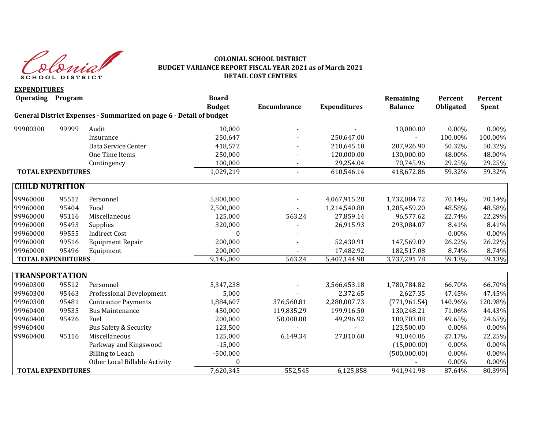

#### **COLONIAL SCHOOL DISTRICT BUDGET VARIANCE REPORT FISCAL YEAR 2021 as of March 2021 DETAIL COST CENTERS**

**EXPENDITURES Operating Program Board Remaining Percent Percent Budget Encumbrance Expenditures Balance Obligated Spent General District Expenses - Summarized on page 6 - Detail of budget** 99900300 99999 Audit 10,000 - - 10,000.00 0.00% 0.00% Insurance 250,647 - 250,647.00 - 100.00% 100.00% Data Service Center 418,572 210,645.10 207,926.90 50.32% 50.32% One Time Items 250,000 - 120,000.00 130,000.00 48.00% 48.00% Contingency 100,000 - 29,254.04 70,745.96 29.25% 29.25% **TOTAL EXPENDITURES** 1,029.219 - 610.546.14 418.672.86 59.32% 59.32% **CHILD NUTRITION**  99960000 95512 Personnel 5,800,000 - 4,067,915.28 1,732,084.72 70.14% 70.14% 99960000 95404 Food 2,500,000 - 1,214,540.80 1,285,459.20 48.58% 48.58% 99960000 95116 Miscellaneous 125,000 563.24 27,859.14 96,577.62 22.74% 22.29% 99960000 95493 Supplies 320,000 - 26,915.93 293,084.07 8.41% 8.41% 99960000 99555 Indirect Cost 0 - - - 0.00% 0.00% 99960000 99516 Equipment Repair 200,000 - 52,430.91 147,569.09 26.22% 26.22% 99960000 95496 Equipment 200,000 - 17,482.92 182,517.08 8.74% 8.74% **TOTAL EXPENDITURES** 19.145,000 563.24 5,407,144.98 3,737,291.78 59.13% 59.13% **TRANSPORTATION** 99960300 95512 Personnel 5,347,238 - 3,566,453.18 1,780,784.82 66.70% 66.70% 99960300 95463 Professional Development 5,000 - 2,372.65 2,627.35 47.45% 47.45% 99960300 95481 Contractor Payments 1,884,607 376,560.81 2,280,007.73 (771,961.54) 140.96% 120.98% 99960400 99535 Bus Maintenance 450,000 119,835.29 199,916.50 130,248.21 71.06% 44.43% 99960400 95426 Fuel 200,000 50,000.00 49,296.92 100,703.08 49.65% 24.65% 99960400 Bus Safety & Security 123,500 - - 123,500.00 0.00% 0.00% 0.00% 99960400 95116 Miscellaneous 125,000 6,149.34 27,810.60 91,040.06 27.17% 22.25% Parkway and Kingswood **2008** -15,000 **1208** -15,000 **15,000 15,000 16,000 16,000 16,000 16,000** 15,000 16,000 16,000 16,000 16,000 16,000 16,000 16,000 16,000 16,000 16,000 16,000 16,000 16,000 16,000 16,000 16,000 16,000 Billing to Leach -500,000 (500,000.00) 0.00% 0.00% Other Local Billable Activity  $0$  0.00% 0.00% 0.00% 0.00% **TOTAL EXPENDITURES** 18.39%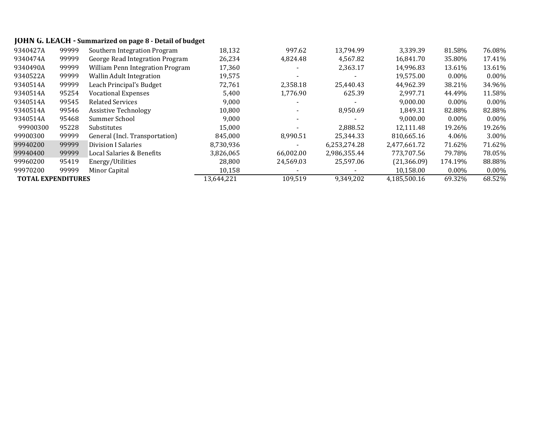# **JOHN G. LEACH - Summarized on page 8 - Detail of budget**

| 9340427A                  | 99999 | Southern Integration Program     | 18,132     | 997.62    | 13,794.99    | 3,339.39     | 81.58%   | 76.08%   |
|---------------------------|-------|----------------------------------|------------|-----------|--------------|--------------|----------|----------|
| 9340474A                  | 99999 | George Read Integration Program  | 26,234     | 4,824.48  | 4,567.82     | 16.841.70    | 35.80%   | 17.41%   |
| 9340490A                  | 99999 | William Penn Integration Program | 17,360     |           | 2,363.17     | 14,996.83    | 13.61%   | 13.61%   |
| 9340522A                  | 99999 | <b>Wallin Adult Integration</b>  | 19,575     |           |              | 19,575.00    | $0.00\%$ | $0.00\%$ |
| 9340514A                  | 99999 | Leach Principal's Budget         | 72,761     | 2.358.18  | 25,440.43    | 44.962.39    | 38.21%   | 34.96%   |
| 9340514A                  | 95254 | <b>Vocational Expenses</b>       | 5,400      | 1,776.90  | 625.39       | 2,997.71     | 44.49%   | 11.58%   |
| 9340514A                  | 99545 | <b>Related Services</b>          | 9,000      |           |              | 9,000.00     | $0.00\%$ | $0.00\%$ |
| 9340514A                  | 99546 | <b>Assistive Technology</b>      | 10,800     |           | 8,950.69     | 1,849.31     | 82.88%   | 82.88%   |
| 9340514A                  | 95468 | Summer School                    | 9,000      |           |              | 9,000.00     | $0.00\%$ | $0.00\%$ |
| 99900300                  | 95228 | Substitutes                      | 15,000     |           | 2,888.52     | 12,111.48    | 19.26%   | 19.26%   |
| 99900300                  | 99999 | General (Incl. Transportation)   | 845.000    | 8.990.51  | 25.344.33    | 810.665.16   | 4.06%    | 3.00%    |
| 99940200                  | 99999 | Division I Salaries              | 8,730,936  |           | 6,253,274.28 | 2,477,661.72 | 71.62%   | 71.62%   |
| 99940400                  | 99999 | Local Salaries & Benefits        | 3,826,065  | 66,002.00 | 2,986,355.44 | 773,707.56   | 79.78%   | 78.05%   |
| 99960200                  | 95419 | Energy/Utilities                 | 28,800     | 24,569.03 | 25,597.06    | (21, 366.09) | 174.19%  | 88.88%   |
| 99970200                  | 99999 | Minor Capital                    | 10,158     |           |              | 10,158.00    | $0.00\%$ | $0.00\%$ |
| <b>TOTAL EXPENDITURES</b> |       |                                  | 13,644,221 | 109,519   | 9,349,202    | 4,185,500.16 | 69.32%   | 68.52%   |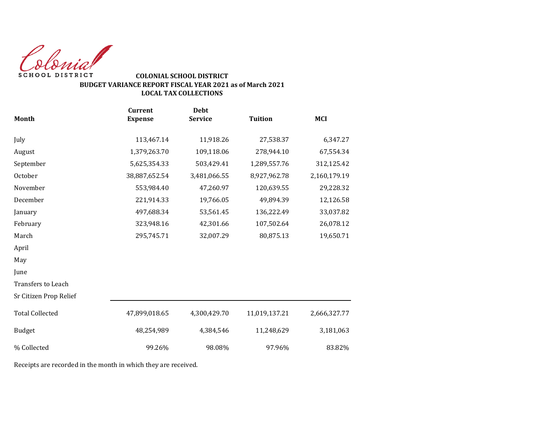Colonial SCHOOL DISTRICT

### **COLONIAL SCHOOL DISTRICT BUDGET VARIANCE REPORT FISCAL YEAR 2021 as of March 2021 LOCAL TAX COLLECTIONS**

|                        | <b>Current</b> | <b>Debt</b>    |                |              |
|------------------------|----------------|----------------|----------------|--------------|
| <b>Month</b>           | <b>Expense</b> | <b>Service</b> | <b>Tuition</b> | <b>MCI</b>   |
| July                   | 113,467.14     | 11,918.26      | 27,538.37      | 6,347.27     |
| August                 | 1,379,263.70   | 109,118.06     | 278,944.10     | 67,554.34    |
| September              | 5,625,354.33   | 503,429.41     | 1,289,557.76   | 312,125.42   |
| October                | 38,887,652.54  | 3,481,066.55   | 8,927,962.78   | 2,160,179.19 |
| November               | 553,984.40     | 47,260.97      | 120,639.55     | 29,228.32    |
| December               | 221,914.33     | 19,766.05      | 49,894.39      | 12,126.58    |
| January                | 497,688.34     | 53,561.45      | 136,222.49     | 33,037.82    |
| February               | 323,948.16     | 42,301.66      | 107,502.64     | 26,078.12    |
| March                  | 295,745.71     | 32,007.29      | 80,875.13      | 19,650.71    |
| April                  |                |                |                |              |
| May                    |                |                |                |              |
| June                   |                |                |                |              |
| Transfers to Leach     |                |                |                |              |
| Sr Citizen Prop Relief |                |                |                |              |
| <b>Total Collected</b> | 47,899,018.65  | 4,300,429.70   | 11,019,137.21  | 2,666,327.77 |
| <b>Budget</b>          | 48,254,989     | 4,384,546      | 11,248,629     | 3,181,063    |
| % Collected            | 99.26%         | 98.08%         | 97.96%         | 83.82%       |

Receipts are recorded in the month in which they are received.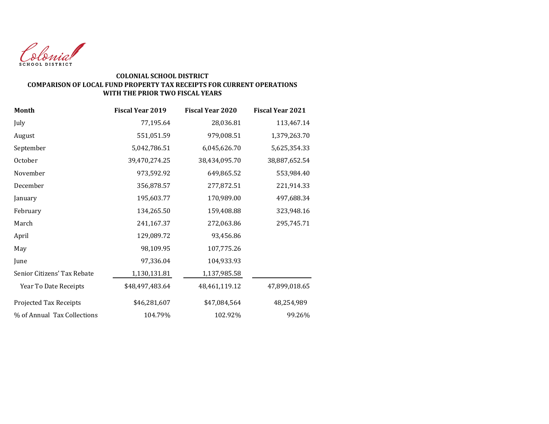

#### **COLONIAL SCHOOL DISTRICT COMPARISON OF LOCAL FUND PROPERTY TAX RECEIPTS FOR CURRENT OPERATIONS WITH THE PRIOR TWO FISCAL YEARS**

| Month                       | <b>Fiscal Year 2019</b> | <b>Fiscal Year 2020</b> | <b>Fiscal Year 2021</b> |
|-----------------------------|-------------------------|-------------------------|-------------------------|
| July                        | 77,195.64               | 28,036.81               | 113,467.14              |
| August                      | 551,051.59              | 979,008.51              | 1,379,263.70            |
| September                   | 5,042,786.51            | 6,045,626.70            | 5,625,354.33            |
| October                     | 39,470,274.25           | 38,434,095.70           | 38,887,652.54           |
| November                    | 973,592.92              | 649,865.52              | 553,984.40              |
| December                    | 356,878.57              | 277,872.51              | 221,914.33              |
| January                     | 195,603.77              | 170,989.00              | 497,688.34              |
| February                    | 134,265.50              | 159,408.88              | 323,948.16              |
| March                       | 241,167.37              | 272,063.86              | 295,745.71              |
| April                       | 129,089.72              | 93,456.86               |                         |
| May                         | 98,109.95               | 107,775.26              |                         |
| June                        | 97,336.04               | 104,933.93              |                         |
| Senior Citizens' Tax Rebate | 1,130,131.81            | 1,137,985.58            |                         |
| Year To Date Receipts       | \$48,497,483.64         | 48,461,119.12           | 47,899,018.65           |
| Projected Tax Receipts      | \$46,281,607            | \$47,084,564            | 48,254,989              |
| % of Annual Tax Collections | 104.79%                 | 102.92%                 | 99.26%                  |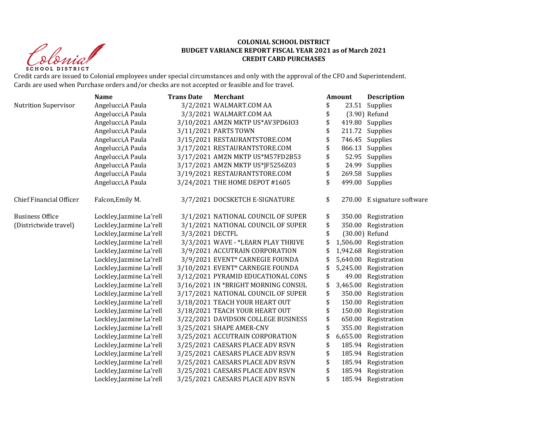Clevial **SCHOOL DISTRICT** 

#### **COLONIAL SCHOOL DISTRICT BUDGET VARIANCE REPORT FISCAL YEAR 2021 as of March 2021 CREDIT CARD PURCHASES**

Credit cards are issued to Colonial employees under special circumstances and only with the approval of the CFO and Superintendent. Cards are used when Purchase orders and/or checks are not accepted or feasible and for travel.

|                                | <b>Name</b>              | <b>Trans Date</b> | <b>Merchant</b>                     | Amount         | <b>Description</b>          |
|--------------------------------|--------------------------|-------------------|-------------------------------------|----------------|-----------------------------|
| <b>Nutrition Supervisor</b>    | Angelucci, A Paula       |                   | 3/2/2021 WALMART.COM AA             | \$             | 23.51 Supplies              |
|                                | Angelucci, A Paula       |                   | 3/3/2021 WALMART.COM AA             | \$             | $(3.90)$ Refund             |
|                                | Angelucci, A Paula       |                   | 3/10/2021 AMZN MKTP US*AV3PD6I03    | \$             | 419.80 Supplies             |
|                                | Angelucci, A Paula       |                   | 3/11/2021 PARTS TOWN                |                | 211.72 Supplies             |
|                                | Angelucci, A Paula       |                   | 3/15/2021 RESTAURANTSTORE.COM       | \$             | 746.45 Supplies             |
|                                | Angelucci, A Paula       |                   | 3/17/2021 RESTAURANTSTORE.COM       | \$             | 866.13 Supplies             |
|                                | Angelucci, A Paula       |                   | 3/17/2021 AMZN MKTP US*M57FD2B53    | \$             | 52.95 Supplies              |
|                                | Angelucci, A Paula       |                   | 3/17/2021 AMZN MKTP US*JF5256Z03    | \$             | 24.99 Supplies              |
|                                | Angelucci, A Paula       |                   | 3/19/2021 RESTAURANTSTORE.COM       | \$             | 269.58 Supplies             |
|                                | Angelucci, A Paula       |                   | 3/24/2021 THE HOME DEPOT #1605      |                | 499.00 Supplies             |
| <b>Chief Financial Officer</b> | Falcon, Emily M.         |                   | 3/7/2021 DOCSKETCH E-SIGNATURE      | \$             | 270.00 E signature software |
| <b>Business Office</b>         | Lockley, Jazmine La'rell |                   | 3/1/2021 NATIONAL COUNCIL OF SUPER  | \$             | 350.00 Registration         |
| (Districtwide travel)          | Lockley, Jazmine La'rell |                   | 3/1/2021 NATIONAL COUNCIL OF SUPER  | \$             | 350.00 Registration         |
|                                | Lockley, Jazmine La'rell | 3/3/2021 DECTFL   |                                     | \$             | (30.00) Refund              |
|                                | Lockley, Jazmine La'rell |                   | 3/3/2021 WAVE - *LEARN PLAY THRIVE  |                | 1,506.00 Registration       |
|                                | Lockley, Jazmine La'rell |                   | 3/9/2021 ACCUTRAIN CORPORATION      | \$             | 1,942.68 Registration       |
|                                | Lockley, Jazmine La'rell |                   | 3/9/2021 EVENT* CARNEGIE FOUNDA     |                | 5,640.00 Registration       |
|                                | Lockley, Jazmine La'rell |                   | 3/10/2021 EVENT* CARNEGIE FOUNDA    | \$<br>5,245.00 | Registration                |
|                                | Lockley, Jazmine La'rell |                   | 3/12/2021 PYRAMID EDUCATIONAL CONS  | \$<br>49.00    | Registration                |
|                                | Lockley, Jazmine La'rell |                   | 3/16/2021 IN *BRIGHT MORNING CONSUL | \$<br>3,465.00 | Registration                |
|                                | Lockley, Jazmine La'rell |                   | 3/17/2021 NATIONAL COUNCIL OF SUPER | \$<br>350.00   | Registration                |
|                                | Lockley, Jazmine La'rell |                   | 3/18/2021 TEACH YOUR HEART OUT      | \$<br>150.00   | Registration                |
|                                | Lockley, Jazmine La'rell |                   | 3/18/2021 TEACH YOUR HEART OUT      | \$<br>150.00   | Registration                |
|                                | Lockley, Jazmine La'rell |                   | 3/22/2021 DAVIDSON COLLEGE BUSINESS | \$<br>650.00   | Registration                |
|                                | Lockley, Jazmine La'rell |                   | 3/25/2021 SHAPE AMER-CNV            | \$<br>355.00   | Registration                |
|                                | Lockley, Jazmine La'rell |                   | 3/25/2021 ACCUTRAIN CORPORATION     | 6,655.00       | Registration                |
|                                | Lockley, Jazmine La'rell |                   | 3/25/2021 CAESARS PLACE ADV RSVN    | \$             | 185.94 Registration         |
|                                | Lockley, Jazmine La'rell |                   | 3/25/2021 CAESARS PLACE ADV RSVN    | \$             | 185.94 Registration         |
|                                | Lockley, Jazmine La'rell |                   | 3/25/2021 CAESARS PLACE ADV RSVN    | \$             | 185.94 Registration         |
|                                | Lockley, Jazmine La'rell |                   | 3/25/2021 CAESARS PLACE ADV RSVN    | \$             | 185.94 Registration         |
|                                | Lockley, Jazmine La'rell |                   | 3/25/2021 CAESARS PLACE ADV RSVN    | \$             | 185.94 Registration         |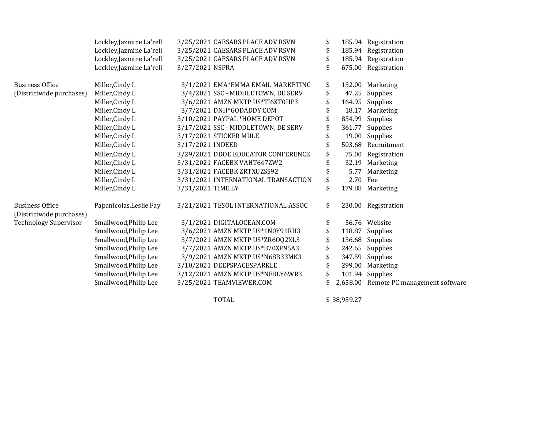|                                                    | Lockley, Jazmine La'rell | 3/25/2021 CAESARS PLACE ADV RSVN    | \$             | 185.94 Registration                    |
|----------------------------------------------------|--------------------------|-------------------------------------|----------------|----------------------------------------|
|                                                    | Lockley, Jazmine La'rell | 3/25/2021 CAESARS PLACE ADV RSVN    | \$             | 185.94 Registration                    |
|                                                    | Lockley, Jazmine La'rell | 3/25/2021 CAESARS PLACE ADV RSVN    | \$             | 185.94 Registration                    |
|                                                    | Lockley, Jazmine La'rell | 3/27/2021 NSPRA                     | \$             | 675.00 Registration                    |
| <b>Business Office</b>                             | Miller, Cindy L          | 3/1/2021 EMA*EMMA EMAIL MARKETING   | \$             | 132.00 Marketing                       |
| (Districtwide purchases)                           | Miller, Cindy L          | 3/4/2021 SSC - MIDDLETOWN, DE SERV  | \$             | 47.25 Supplies                         |
|                                                    | Miller, Cindy L          | 3/6/2021 AMZN MKTP US*TI6XT0HP3     | \$             | 164.95 Supplies                        |
|                                                    | Miller, Cindy L          | 3/7/2021 DNH*GODADDY.COM            | 18.17          | Marketing                              |
|                                                    | Miller, Cindy L          | 3/10/2021 PAYPAL *HOME DEPOT        | \$<br>854.99   | Supplies                               |
|                                                    | Miller, Cindy L          | 3/17/2021 SSC - MIDDLETOWN, DE SERV | \$<br>361.77   | Supplies                               |
|                                                    | Miller, Cindy L          | 3/17/2021 STICKER MULE              | \$             | 19.00 Supplies                         |
|                                                    | Miller, Cindy L          | 3/17/2021 INDEED                    | \$             | 503.68 Recruitment                     |
|                                                    | Miller, Cindy L          | 3/29/2021 DDOE EDUCATOR CONFERENCE  | \$             | 75.00 Registration                     |
|                                                    | Miller, Cindy L          | 3/31/2021 FACEBK VAHT647ZW2         | \$             | 32.19 Marketing                        |
|                                                    | Miller, Cindy L          | 3/31/2021 FACEBK ZRTXUZSS92         | \$<br>5.77     | Marketing                              |
|                                                    | Miller, Cindy L          | 3/31/2021 INTERNATIONAL TRANSACTION | \$<br>2.70 Fee |                                        |
|                                                    | Miller, Cindy L          | 3/31/2021 TIME.LY                   | \$             | 179.88 Marketing                       |
| <b>Business Office</b><br>(Districtwide purchases) | Papanicolas, Leslie Fay  | 3/21/2021 TESOL INTERNATIONAL ASSOC | \$             | 230.00 Registration                    |
| <b>Technology Supervisor</b>                       | Smallwood, Philip Lee    | 3/1/2021 DIGITALOCEAN.COM           |                | 56.76 Website                          |
|                                                    | Smallwood, Philip Lee    | 3/6/2021 AMZN MKTP US*1N0Y91RH3     | \$             | 118.87 Supplies                        |
|                                                    | Smallwood, Philip Lee    | 3/7/2021 AMZN MKTP US*ZR6OQ2XL3     | \$             | 136.68 Supplies                        |
|                                                    | Smallwood, Philip Lee    | 3/7/2021 AMZN MKTP US*B70XP95A3     | \$             | 242.65 Supplies                        |
|                                                    | Smallwood, Philip Lee    | 3/9/2021 AMZN MKTP US*N68B33MK3     | \$             | 347.59 Supplies                        |
|                                                    | Smallwood, Philip Lee    | 3/10/2021 DEEPSPACESPARKLE          | \$             | 299.00 Marketing                       |
|                                                    | Smallwood, Philip Lee    | 3/12/2021 AMZN MKTP US*NE8LY6WR3    | \$             | 101.94 Supplies                        |
|                                                    | Smallwood, Philip Lee    | 3/25/2021 TEAMVIEWER.COM            |                | 2,658.00 Remote PC management software |
|                                                    |                          | <b>TOTAL</b>                        | \$38,959.27    |                                        |